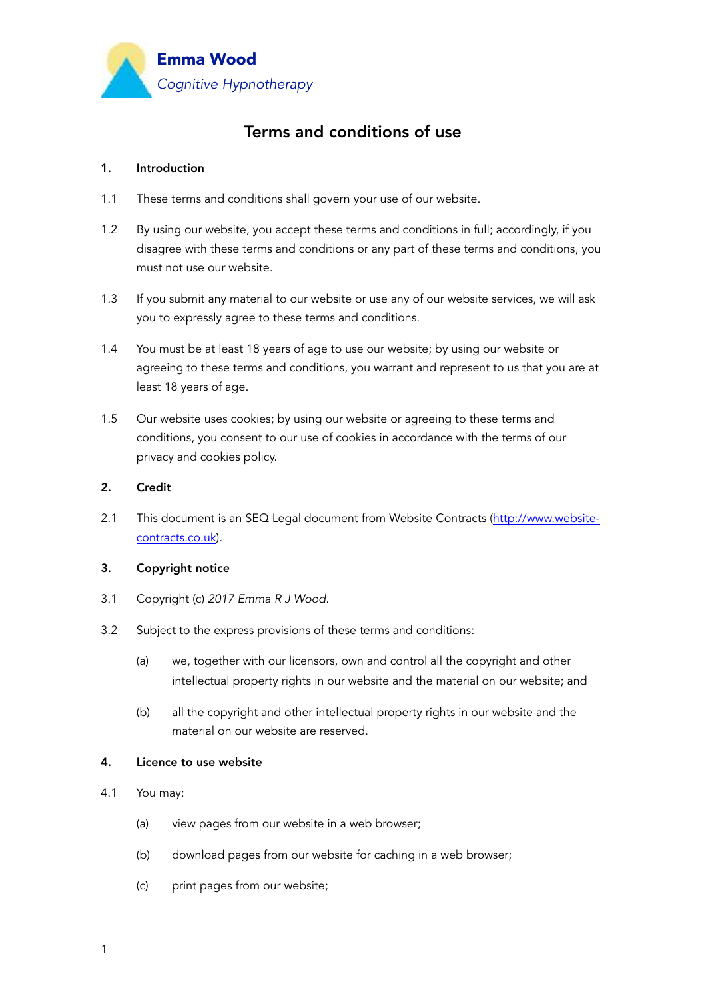

# Terms and conditions of use

### 1. Introduction

- 1.1 These terms and conditions shall govern your use of our website.
- 1.2 By using our website, you accept these terms and conditions in full; accordingly, if you disagree with these terms and conditions or any part of these terms and conditions, you must not use our website.
- 1.3 If you submit any material to our website or use any of our website services, we will ask you to expressly agree to these terms and conditions.
- 1.4 You must be at least 18 years of age to use our website; by using our website or agreeing to these terms and conditions, you warrant and represent to us that you are at least 18 years of age.
- 1.5 Our website uses cookies; by using our website or agreeing to these terms and conditions, you consent to our use of cookies in accordance with the terms of our privacy and cookies policy.

#### 2. Credit

2.1 This document is an SEQ Legal document from Website Contracts [\(http://www.website](http://www.website-contracts.co.uk)[contracts.co.uk](http://www.website-contracts.co.uk)).

#### 3. Copyright notice

- 3.1 Copyright (c) *2017 Emma R J Wood*.
- 3.2 Subject to the express provisions of these terms and conditions:
	- (a) we, together with our licensors, own and control all the copyright and other intellectual property rights in our website and the material on our website; and
	- (b) all the copyright and other intellectual property rights in our website and the material on our website are reserved.

## 4. Licence to use website

- 4.1 You may:
	- (a) view pages from our website in a web browser;
	- (b) download pages from our website for caching in a web browser;
	- (c) print pages from our website;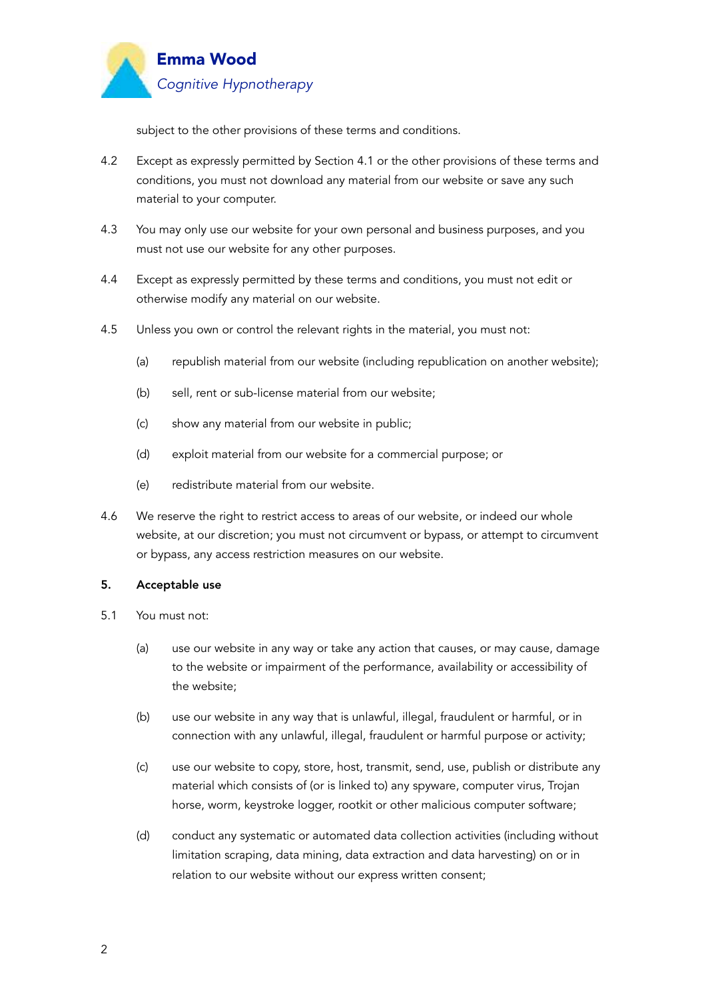

subject to the other provisions of these terms and conditions.

- 4.2 Except as expressly permitted by Section 4.1 or the other provisions of these terms and conditions, you must not download any material from our website or save any such material to your computer.
- 4.3 You may only use our website for your own personal and business purposes, and you must not use our website for any other purposes.
- 4.4 Except as expressly permitted by these terms and conditions, you must not edit or otherwise modify any material on our website.
- 4.5 Unless you own or control the relevant rights in the material, you must not:
	- (a) republish material from our website (including republication on another website);
	- (b) sell, rent or sub-license material from our website;
	- (c) show any material from our website in public;
	- (d) exploit material from our website for a commercial purpose; or
	- (e) redistribute material from our website.
- 4.6 We reserve the right to restrict access to areas of our website, or indeed our whole website, at our discretion; you must not circumvent or bypass, or attempt to circumvent or bypass, any access restriction measures on our website.

#### 5. Acceptable use

- 5.1 You must not:
	- (a) use our website in any way or take any action that causes, or may cause, damage to the website or impairment of the performance, availability or accessibility of the website;
	- (b) use our website in any way that is unlawful, illegal, fraudulent or harmful, or in connection with any unlawful, illegal, fraudulent or harmful purpose or activity;
	- (c) use our website to copy, store, host, transmit, send, use, publish or distribute any material which consists of (or is linked to) any spyware, computer virus, Trojan horse, worm, keystroke logger, rootkit or other malicious computer software;
	- (d) conduct any systematic or automated data collection activities (including without limitation scraping, data mining, data extraction and data harvesting) on or in relation to our website without our express written consent;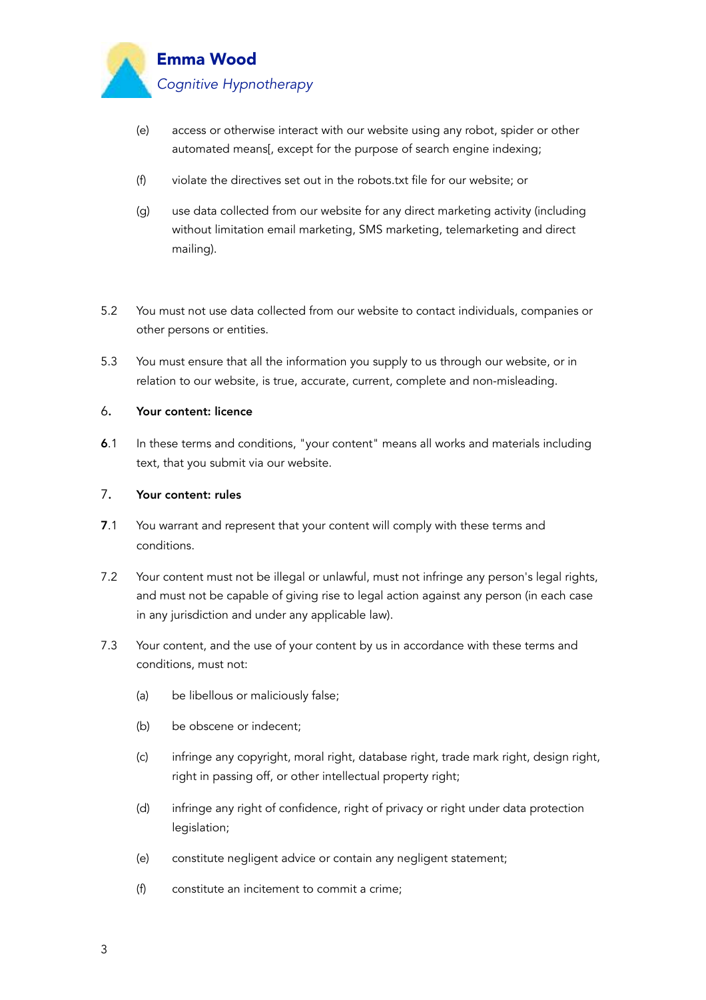

- (e) access or otherwise interact with our website using any robot, spider or other automated means[, except for the purpose of search engine indexing;
- (f) violate the directives set out in the robots.txt file for our website; or
- (g) use data collected from our website for any direct marketing activity (including without limitation email marketing, SMS marketing, telemarketing and direct mailing).
- 5.2 You must not use data collected from our website to contact individuals, companies or other persons or entities.
- 5.3 You must ensure that all the information you supply to us through our website, or in relation to our website, is true, accurate, current, complete and non-misleading.

## 6. Your content: licence

6.1 In these terms and conditions, "your content" means all works and materials including text, that you submit via our website.

## 7. Your content: rules

- 7.1 You warrant and represent that your content will comply with these terms and conditions.
- 7.2 Your content must not be illegal or unlawful, must not infringe any person's legal rights, and must not be capable of giving rise to legal action against any person (in each case in any jurisdiction and under any applicable law).
- 7.3 Your content, and the use of your content by us in accordance with these terms and conditions, must not:
	- (a) be libellous or maliciously false;
	- (b) be obscene or indecent;
	- (c) infringe any copyright, moral right, database right, trade mark right, design right, right in passing off, or other intellectual property right;
	- (d) infringe any right of confidence, right of privacy or right under data protection legislation;
	- (e) constitute negligent advice or contain any negligent statement;
	- (f) constitute an incitement to commit a crime;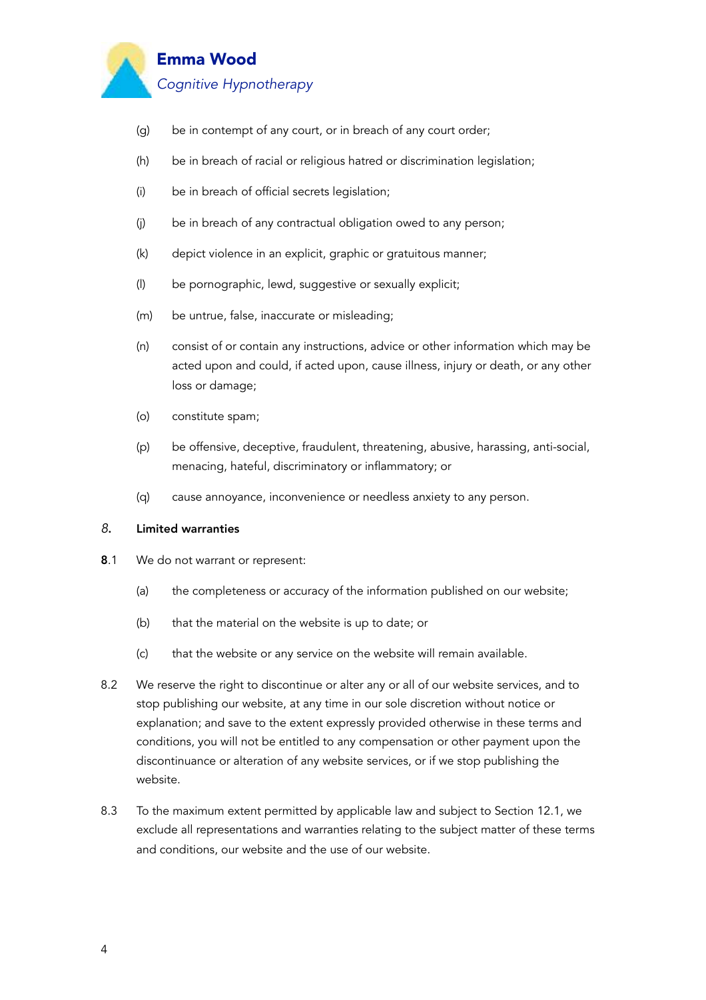

- (g) be in contempt of any court, or in breach of any court order;
- (h) be in breach of racial or religious hatred or discrimination legislation;
- (i) be in breach of official secrets legislation;
- (j) be in breach of any contractual obligation owed to any person;
- (k) depict violence in an explicit, graphic or gratuitous manner;
- (l) be pornographic, lewd, suggestive or sexually explicit;
- (m) be untrue, false, inaccurate or misleading;
- (n) consist of or contain any instructions, advice or other information which may be acted upon and could, if acted upon, cause illness, injury or death, or any other loss or damage;
- (o) constitute spam;
- (p) be offensive, deceptive, fraudulent, threatening, abusive, harassing, anti-social, menacing, hateful, discriminatory or inflammatory; or
- (q) cause annoyance, inconvenience or needless anxiety to any person.

#### *8*. Limited warranties

- 8.1 We do not warrant or represent:
	- (a) the completeness or accuracy of the information published on our website;
	- (b) that the material on the website is up to date; or
	- (c) that the website or any service on the website will remain available.
- 8.2 We reserve the right to discontinue or alter any or all of our website services, and to stop publishing our website, at any time in our sole discretion without notice or explanation; and save to the extent expressly provided otherwise in these terms and conditions, you will not be entitled to any compensation or other payment upon the discontinuance or alteration of any website services, or if we stop publishing the website.
- 8.3 To the maximum extent permitted by applicable law and subject to Section 12.1, we exclude all representations and warranties relating to the subject matter of these terms and conditions, our website and the use of our website.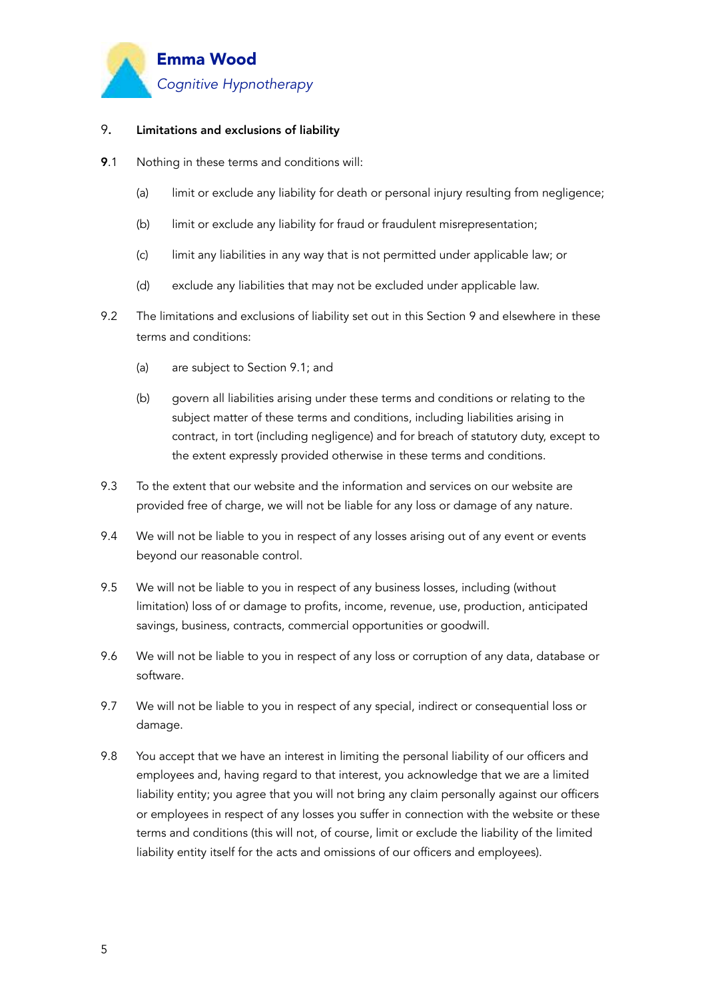

# 9. Limitations and exclusions of liability

- 9.1 Nothing in these terms and conditions will:
	- (a) limit or exclude any liability for death or personal injury resulting from negligence;
	- (b) limit or exclude any liability for fraud or fraudulent misrepresentation;
	- (c) limit any liabilities in any way that is not permitted under applicable law; or
	- (d) exclude any liabilities that may not be excluded under applicable law.
- 9.2 The limitations and exclusions of liability set out in this Section 9 and elsewhere in these terms and conditions:
	- (a) are subject to Section 9.1; and
	- (b) govern all liabilities arising under these terms and conditions or relating to the subject matter of these terms and conditions, including liabilities arising in contract, in tort (including negligence) and for breach of statutory duty, except to the extent expressly provided otherwise in these terms and conditions.
- 9.3 To the extent that our website and the information and services on our website are provided free of charge, we will not be liable for any loss or damage of any nature.
- 9.4 We will not be liable to you in respect of any losses arising out of any event or events beyond our reasonable control.
- 9.5 We will not be liable to you in respect of any business losses, including (without limitation) loss of or damage to profits, income, revenue, use, production, anticipated savings, business, contracts, commercial opportunities or goodwill.
- 9.6 We will not be liable to you in respect of any loss or corruption of any data, database or software.
- 9.7 We will not be liable to you in respect of any special, indirect or consequential loss or damage.
- 9.8 You accept that we have an interest in limiting the personal liability of our officers and employees and, having regard to that interest, you acknowledge that we are a limited liability entity; you agree that you will not bring any claim personally against our officers or employees in respect of any losses you suffer in connection with the website or these terms and conditions (this will not, of course, limit or exclude the liability of the limited liability entity itself for the acts and omissions of our officers and employees).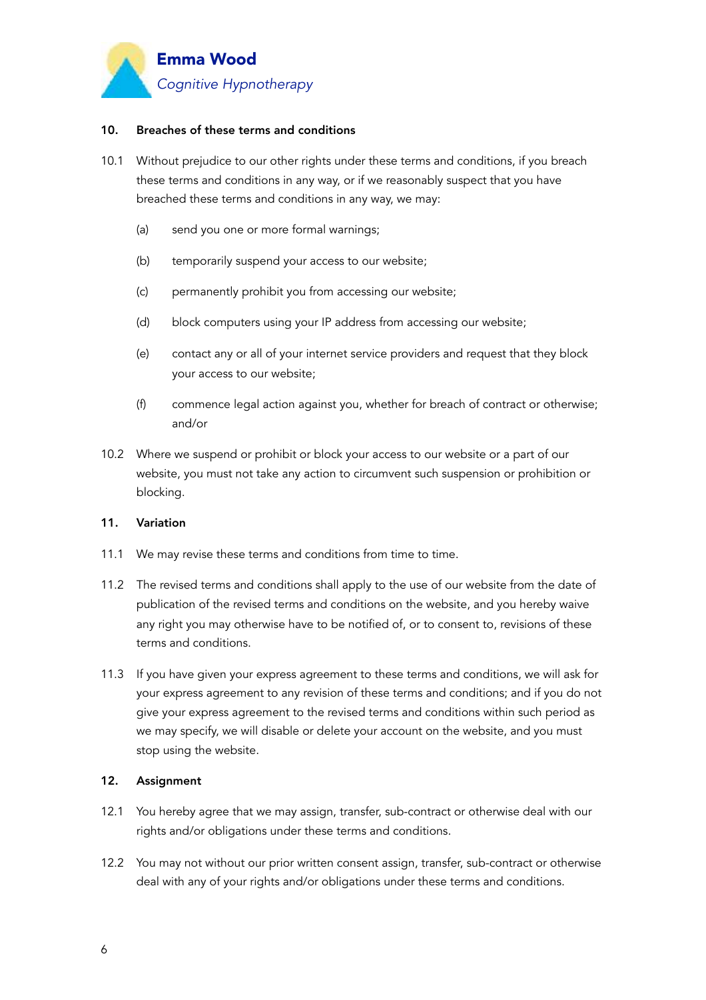

#### 10. Breaches of these terms and conditions

- 10.1 Without prejudice to our other rights under these terms and conditions, if you breach these terms and conditions in any way, or if we reasonably suspect that you have breached these terms and conditions in any way, we may:
	- (a) send you one or more formal warnings;
	- (b) temporarily suspend your access to our website;
	- (c) permanently prohibit you from accessing our website;
	- (d) block computers using your IP address from accessing our website;
	- (e) contact any or all of your internet service providers and request that they block your access to our website;
	- (f) commence legal action against you, whether for breach of contract or otherwise; and/or
- 10.2 Where we suspend or prohibit or block your access to our website or a part of our website, you must not take any action to circumvent such suspension or prohibition or blocking.

#### 11. Variation

- 11.1 We may revise these terms and conditions from time to time.
- 11.2 The revised terms and conditions shall apply to the use of our website from the date of publication of the revised terms and conditions on the website, and you hereby waive any right you may otherwise have to be notified of, or to consent to, revisions of these terms and conditions.
- 11.3 If you have given your express agreement to these terms and conditions, we will ask for your express agreement to any revision of these terms and conditions; and if you do not give your express agreement to the revised terms and conditions within such period as we may specify, we will disable or delete your account on the website, and you must stop using the website.

#### 12. Assignment

- 12.1 You hereby agree that we may assign, transfer, sub-contract or otherwise deal with our rights and/or obligations under these terms and conditions.
- 12.2 You may not without our prior written consent assign, transfer, sub-contract or otherwise deal with any of your rights and/or obligations under these terms and conditions.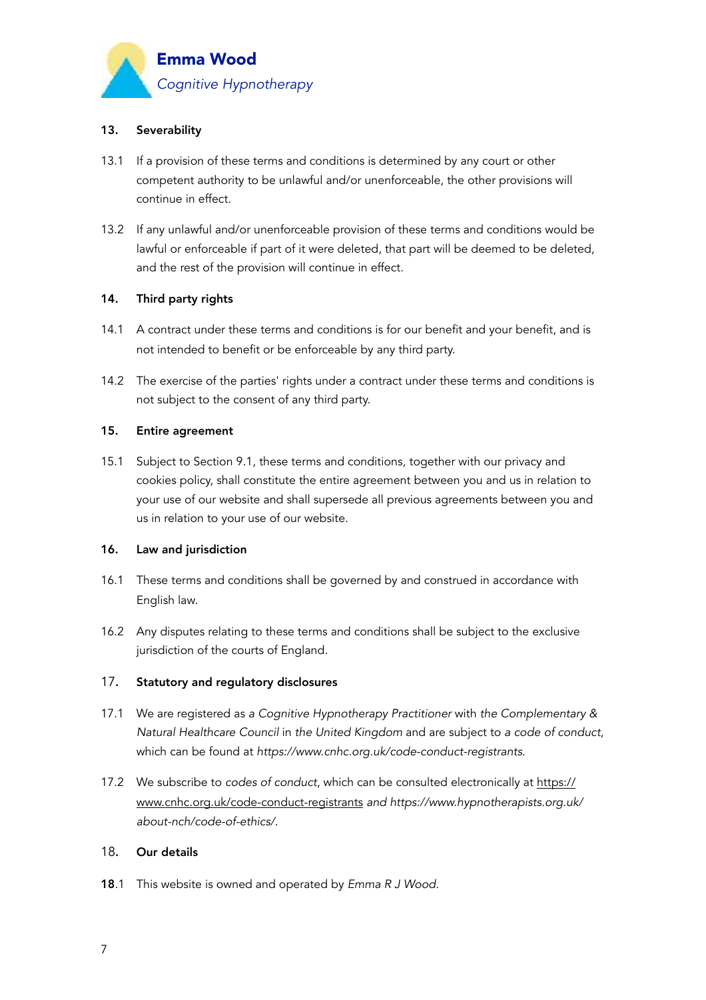

# 13. Severability

- 13.1 If a provision of these terms and conditions is determined by any court or other competent authority to be unlawful and/or unenforceable, the other provisions will continue in effect.
- 13.2 If any unlawful and/or unenforceable provision of these terms and conditions would be lawful or enforceable if part of it were deleted, that part will be deemed to be deleted, and the rest of the provision will continue in effect.

## 14. Third party rights

- 14.1 A contract under these terms and conditions is for our benefit and your benefit, and is not intended to benefit or be enforceable by any third party.
- 14.2 The exercise of the parties' rights under a contract under these terms and conditions is not subject to the consent of any third party.

#### 15. Entire agreement

15.1 Subject to Section 9.1, these terms and conditions, together with our privacy and cookies policy, shall constitute the entire agreement between you and us in relation to your use of our website and shall supersede all previous agreements between you and us in relation to your use of our website.

#### 16. Law and jurisdiction

- 16.1 These terms and conditions shall be governed by and construed in accordance with English law.
- 16.2 Any disputes relating to these terms and conditions shall be subject to the exclusive jurisdiction of the courts of England.

# 17. Statutory and regulatory disclosures

- 17.1 We are registered as *a Cognitive Hypnotherapy Practitioner* with *the Complementary & Natural Healthcare Council* in *the United Kingdom* and are subject to *a code of conduct*, which can be found at *https://www.cnhc.org.uk/code-conduct-registrants*.
- 17.2 We subscribe to *codes of conduct*, which can be consulted electronically at [https://](https://www.cnhc.org.uk/code-conduct-registrants) [www.cnhc.org.uk/code-conduct-registrants](https://www.cnhc.org.uk/code-conduct-registrants) *and https://www.hypnotherapists.org.uk/ about-nch/code-of-ethics/*.

# 18. Our details

18.1 This website is owned and operated by *Emma R J Wood*.